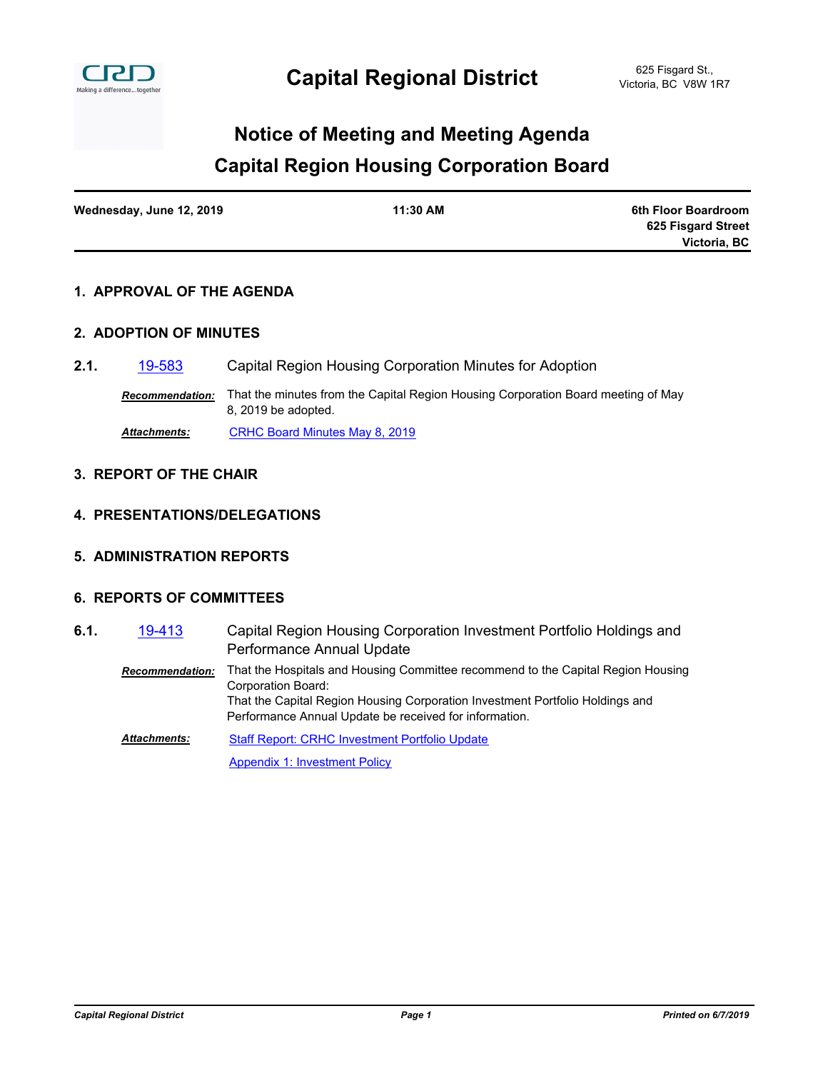

# **Capital Region Housing Corporation Board Notice of Meeting and Meeting Agenda**

| Wednesday, June 12, 2019 | 11:30 AM | 6th Floor Boardroom |
|--------------------------|----------|---------------------|
|                          |          | 625 Fisgard Street  |
|                          |          | Victoria, BC        |

## **1. APPROVAL OF THE AGENDA**

## **2. ADOPTION OF MINUTES**

**2.1.** [19-583](http://crd.ca.legistar.com/gateway.aspx?m=l&id=/matter.aspx?key=5671) Capital Region Housing Corporation Minutes for Adoption

*Recommendation:* That the minutes from the Capital Region Housing Corporation Board meeting of May 8, 2019 be adopted.

*Attachments:* [CRHC Board Minutes May 8, 2019](http://crd.ca.legistar.com/gateway.aspx?M=F&ID=6ec59ac2-7bc7-4ca2-b744-321b9b2ff62b.pdf)

#### **3. REPORT OF THE CHAIR**

#### **4. PRESENTATIONS/DELEGATIONS**

**5. ADMINISTRATION REPORTS**

## **6. REPORTS OF COMMITTEES**

Capital Region Housing Corporation Investment Portfolio Holdings and Performance Annual Update **6.1.** [19-413](http://crd.ca.legistar.com/gateway.aspx?m=l&id=/matter.aspx?key=5501) *Recommendation:* That the Hospitals and Housing Committee recommend to the Capital Region Housing

> Corporation Board: That the Capital Region Housing Corporation Investment Portfolio Holdings and Performance Annual Update be received for information.

[Staff Report: CRHC Investment Portfolio Update](http://crd.ca.legistar.com/gateway.aspx?M=F&ID=ebbb043e-ba65-4f2d-8aa8-ef1e1bebe140.pdf) *Attachments:*

[Appendix 1: Investment Policy](http://crd.ca.legistar.com/gateway.aspx?M=F&ID=59d750cb-af3b-4b21-bf5f-6ea9f21a693d.pdf)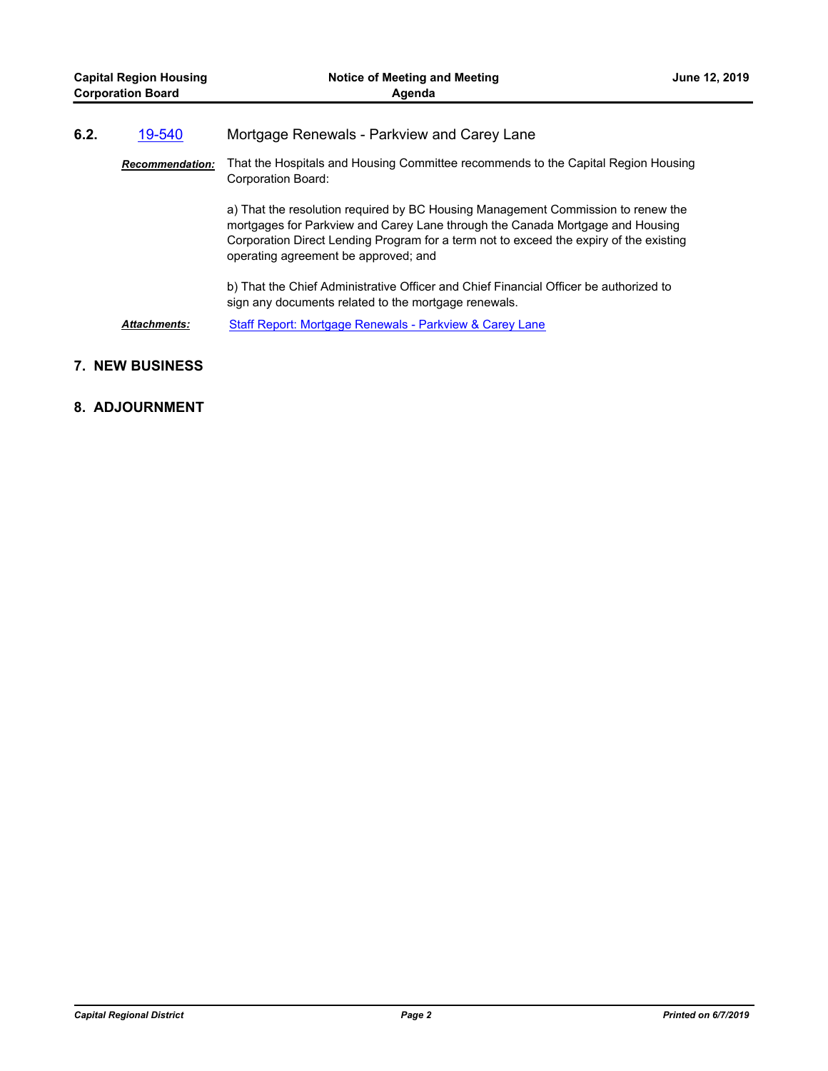| <b>Capital Region Housing</b><br><b>Corporation Board</b> |                        | Notice of Meeting and Meeting<br>Agenda                                                                                                                                                                                                                                                             | <b>June 12, 2019</b> |  |
|-----------------------------------------------------------|------------------------|-----------------------------------------------------------------------------------------------------------------------------------------------------------------------------------------------------------------------------------------------------------------------------------------------------|----------------------|--|
| 6.2.                                                      | 19-540                 | Mortgage Renewals - Parkview and Carey Lane                                                                                                                                                                                                                                                         |                      |  |
|                                                           | <b>Recommendation:</b> | That the Hospitals and Housing Committee recommends to the Capital Region Housing<br>Corporation Board:                                                                                                                                                                                             |                      |  |
|                                                           |                        | a) That the resolution required by BC Housing Management Commission to renew the<br>mortgages for Parkview and Carey Lane through the Canada Mortgage and Housing<br>Corporation Direct Lending Program for a term not to exceed the expiry of the existing<br>operating agreement be approved; and |                      |  |
|                                                           |                        | b) That the Chief Administrative Officer and Chief Financial Officer be authorized to<br>sign any documents related to the mortgage renewals.                                                                                                                                                       |                      |  |
|                                                           | <b>Attachments:</b>    | Staff Report: Mortgage Renewals - Parkview & Carey Lane                                                                                                                                                                                                                                             |                      |  |

## **7. NEW BUSINESS**

## **8. ADJOURNMENT**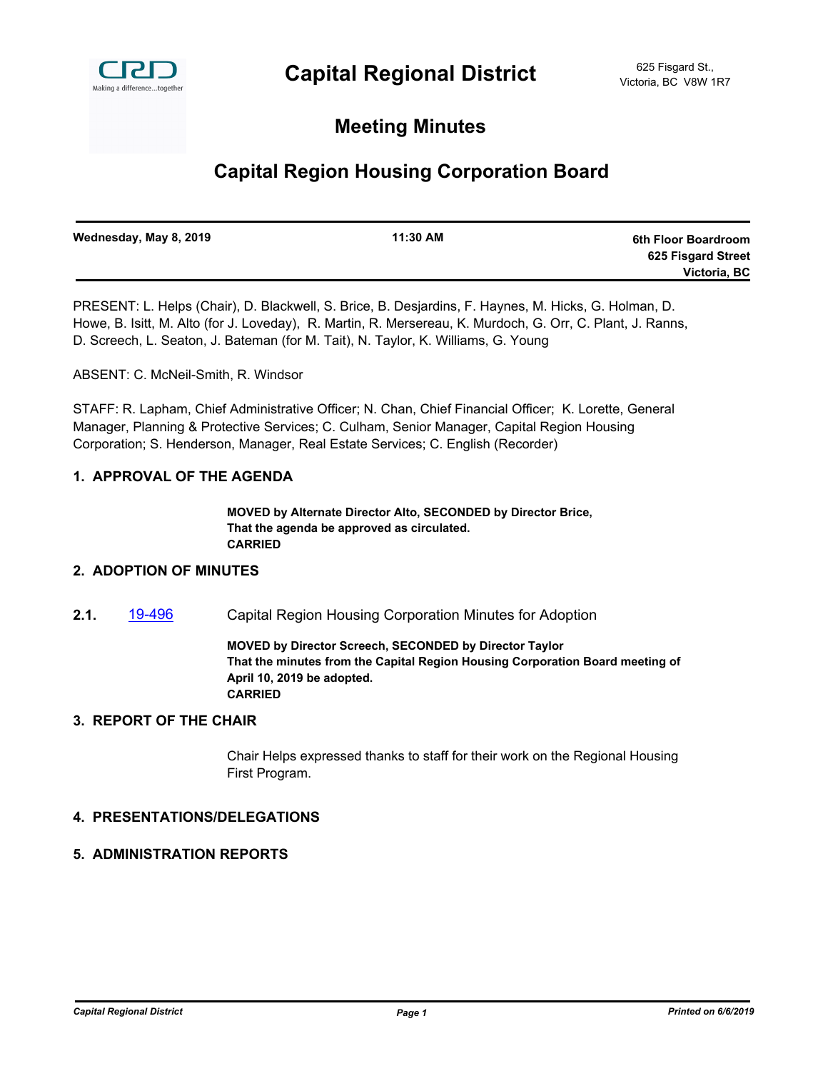

# **Meeting Minutes**

# **Capital Region Housing Corporation Board**

| Wednesday, May 8, 2019 | 11:30 AM | 6th Floor Boardroom |
|------------------------|----------|---------------------|
|                        |          | 625 Fisgard Street  |
|                        |          | Victoria, BC        |
|                        |          |                     |

PRESENT: L. Helps (Chair), D. Blackwell, S. Brice, B. Desjardins, F. Haynes, M. Hicks, G. Holman, D. Howe, B. Isitt, M. Alto (for J. Loveday), R. Martin, R. Mersereau, K. Murdoch, G. Orr, C. Plant, J. Ranns, D. Screech, L. Seaton, J. Bateman (for M. Tait), N. Taylor, K. Williams, G. Young

ABSENT: C. McNeil-Smith, R. Windsor

STAFF: R. Lapham, Chief Administrative Officer; N. Chan, Chief Financial Officer; K. Lorette, General Manager, Planning & Protective Services; C. Culham, Senior Manager, Capital Region Housing Corporation; S. Henderson, Manager, Real Estate Services; C. English (Recorder)

## **1. APPROVAL OF THE AGENDA**

**MOVED by Alternate Director Alto, SECONDED by Director Brice, That the agenda be approved as circulated. CARRIED**

#### **2. ADOPTION OF MINUTES**

**2.1.** [19-496](http://crd.ca.legistar.com/gateway.aspx?m=l&id=/matter.aspx?key=5584) Capital Region Housing Corporation Minutes for Adoption

**MOVED by Director Screech, SECONDED by Director Taylor That the minutes from the Capital Region Housing Corporation Board meeting of April 10, 2019 be adopted. CARRIED**

#### **3. REPORT OF THE CHAIR**

Chair Helps expressed thanks to staff for their work on the Regional Housing First Program.

## **4. PRESENTATIONS/DELEGATIONS**

#### **5. ADMINISTRATION REPORTS**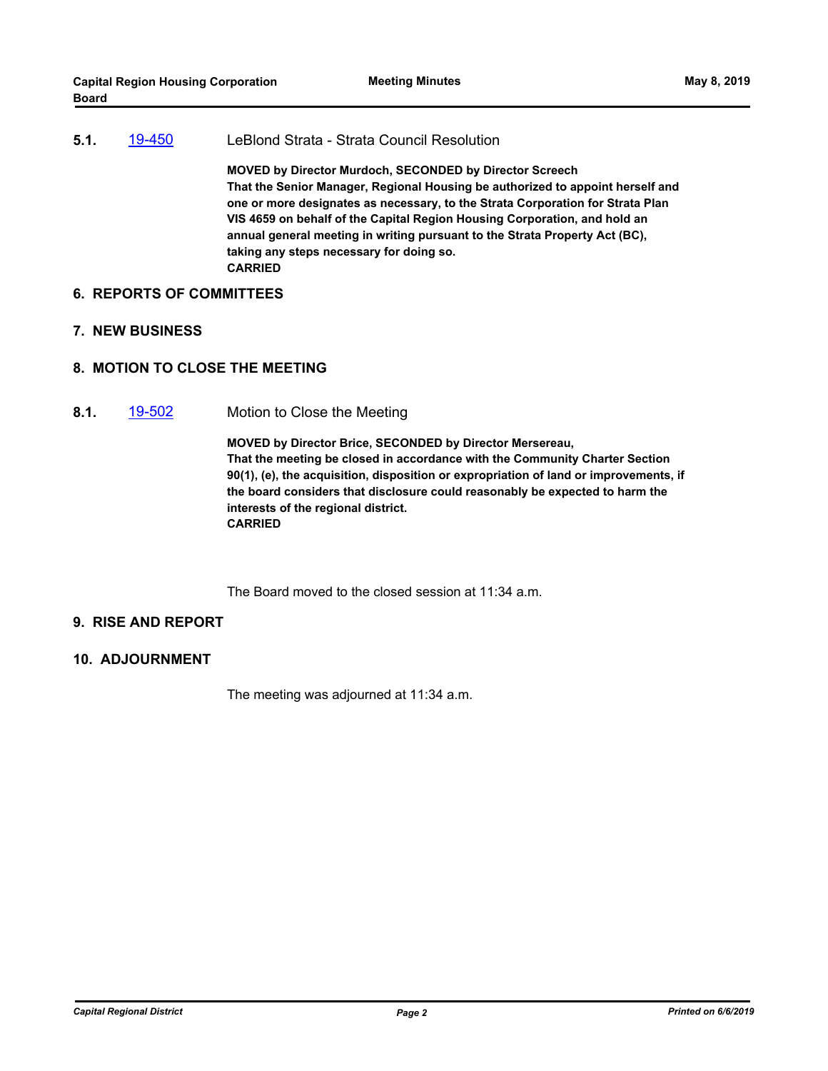**5.1.** [19-450](http://crd.ca.legistar.com/gateway.aspx?m=l&id=/matter.aspx?key=5538) LeBlond Strata - Strata Council Resolution **MOVED by Director Murdoch, SECONDED by Director Screech That the Senior Manager, Regional Housing be authorized to appoint herself and one or more designates as necessary, to the Strata Corporation for Strata Plan VIS 4659 on behalf of the Capital Region Housing Corporation, and hold an annual general meeting in writing pursuant to the Strata Property Act (BC), taking any steps necessary for doing so. CARRIED**

#### **6. REPORTS OF COMMITTEES**

- **7. NEW BUSINESS**
- **8. MOTION TO CLOSE THE MEETING**
- **8.1.** [19-502](http://crd.ca.legistar.com/gateway.aspx?m=l&id=/matter.aspx?key=5590) Motion to Close the Meeting

**MOVED by Director Brice, SECONDED by Director Mersereau, That the meeting be closed in accordance with the Community Charter Section 90(1), (e), the acquisition, disposition or expropriation of land or improvements, if the board considers that disclosure could reasonably be expected to harm the interests of the regional district. CARRIED**

The Board moved to the closed session at 11:34 a.m.

#### **9. RISE AND REPORT**

**10. ADJOURNMENT**

The meeting was adjourned at 11:34 a.m.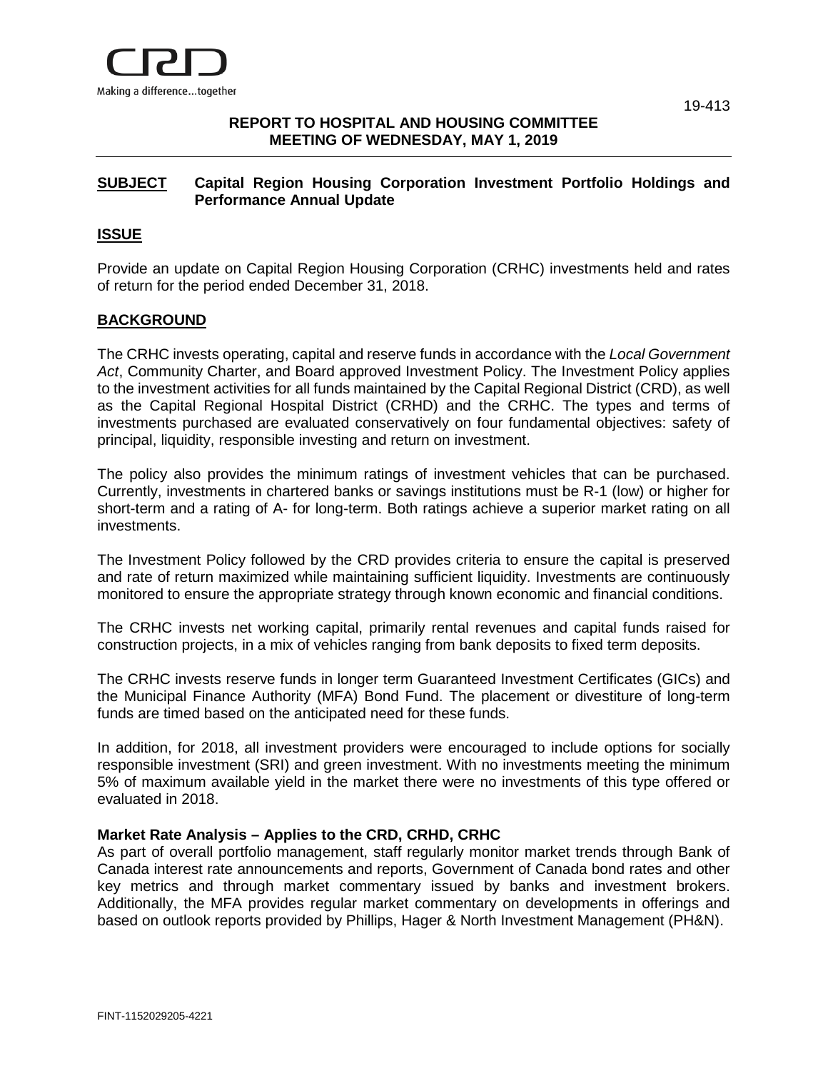

## **REPORT TO HOSPITAL AND HOUSING COMMITTEE MEETING OF WEDNESDAY, MAY 1, 2019**

## **SUBJECT Capital Region Housing Corporation Investment Portfolio Holdings and Performance Annual Update**

## **ISSUE**

Provide an update on Capital Region Housing Corporation (CRHC) investments held and rates of return for the period ended December 31, 2018.

## **BACKGROUND**

The CRHC invests operating, capital and reserve funds in accordance with the *Local Government Act*, Community Charter, and Board approved Investment Policy. The Investment Policy applies to the investment activities for all funds maintained by the Capital Regional District (CRD), as well as the Capital Regional Hospital District (CRHD) and the CRHC. The types and terms of investments purchased are evaluated conservatively on four fundamental objectives: safety of principal, liquidity, responsible investing and return on investment.

The policy also provides the minimum ratings of investment vehicles that can be purchased. Currently, investments in chartered banks or savings institutions must be R-1 (low) or higher for short-term and a rating of A- for long-term. Both ratings achieve a superior market rating on all investments.

The Investment Policy followed by the CRD provides criteria to ensure the capital is preserved and rate of return maximized while maintaining sufficient liquidity. Investments are continuously monitored to ensure the appropriate strategy through known economic and financial conditions.

The CRHC invests net working capital, primarily rental revenues and capital funds raised for construction projects, in a mix of vehicles ranging from bank deposits to fixed term deposits.

The CRHC invests reserve funds in longer term Guaranteed Investment Certificates (GICs) and the Municipal Finance Authority (MFA) Bond Fund. The placement or divestiture of long-term funds are timed based on the anticipated need for these funds.

In addition, for 2018, all investment providers were encouraged to include options for socially responsible investment (SRI) and green investment. With no investments meeting the minimum 5% of maximum available yield in the market there were no investments of this type offered or evaluated in 2018.

## **Market Rate Analysis – Applies to the CRD, CRHD, CRHC**

As part of overall portfolio management, staff regularly monitor market trends through Bank of Canada interest rate announcements and reports, Government of Canada bond rates and other key metrics and through market commentary issued by banks and investment brokers. Additionally, the MFA provides regular market commentary on developments in offerings and based on outlook reports provided by Phillips, Hager & North Investment Management (PH&N).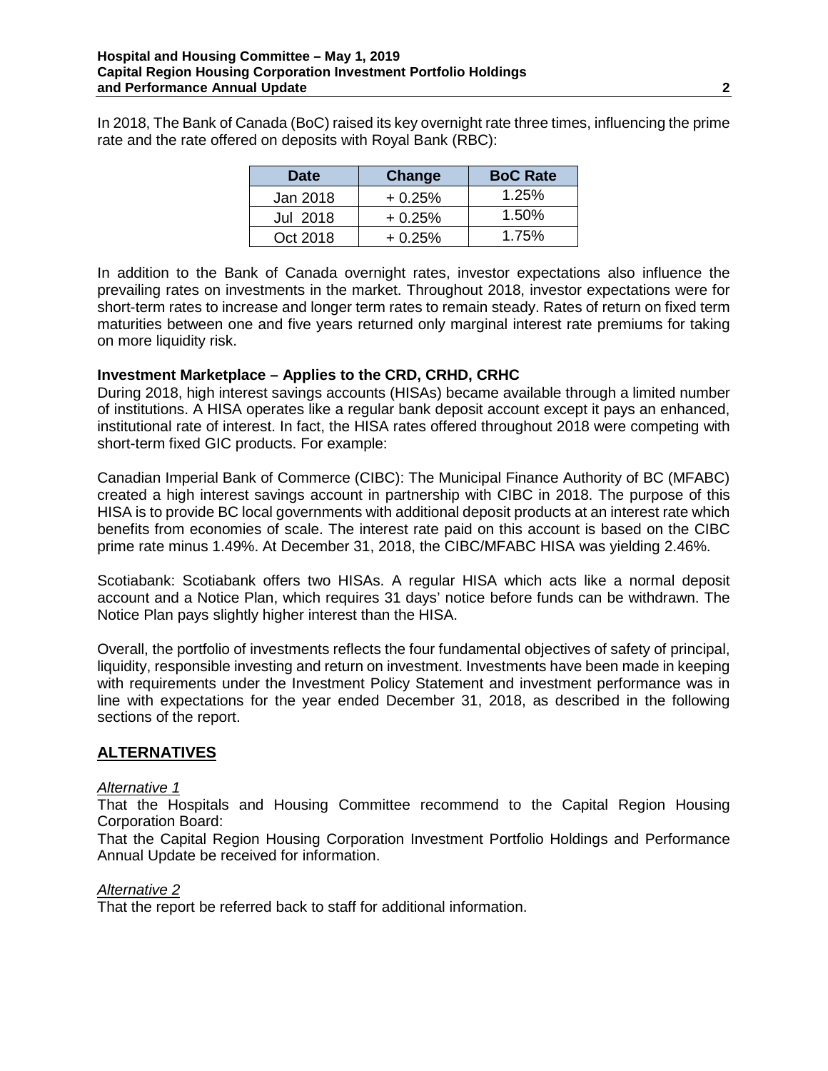In 2018, The Bank of Canada (BoC) raised its key overnight rate three times, influencing the prime rate and the rate offered on deposits with Royal Bank (RBC):

| <b>Date</b> | Change   | <b>BoC Rate</b> |
|-------------|----------|-----------------|
| Jan 2018    | $+0.25%$ | 1.25%           |
| Jul 2018    | $+0.25%$ | 1.50%           |
| Oct 2018    | $+0.25%$ | 1.75%           |

In addition to the Bank of Canada overnight rates, investor expectations also influence the prevailing rates on investments in the market. Throughout 2018, investor expectations were for short-term rates to increase and longer term rates to remain steady. Rates of return on fixed term maturities between one and five years returned only marginal interest rate premiums for taking on more liquidity risk.

## **Investment Marketplace – Applies to the CRD, CRHD, CRHC**

During 2018, high interest savings accounts (HISAs) became available through a limited number of institutions. A HISA operates like a regular bank deposit account except it pays an enhanced, institutional rate of interest. In fact, the HISA rates offered throughout 2018 were competing with short-term fixed GIC products. For example:

Canadian Imperial Bank of Commerce (CIBC): The Municipal Finance Authority of BC (MFABC) created a high interest savings account in partnership with CIBC in 2018. The purpose of this HISA is to provide BC local governments with additional deposit products at an interest rate which benefits from economies of scale. The interest rate paid on this account is based on the CIBC prime rate minus 1.49%. At December 31, 2018, the CIBC/MFABC HISA was yielding 2.46%.

Scotiabank: Scotiabank offers two HISAs. A regular HISA which acts like a normal deposit account and a Notice Plan, which requires 31 days' notice before funds can be withdrawn. The Notice Plan pays slightly higher interest than the HISA.

Overall, the portfolio of investments reflects the four fundamental objectives of safety of principal, liquidity, responsible investing and return on investment. Investments have been made in keeping with requirements under the Investment Policy Statement and investment performance was in line with expectations for the year ended December 31, 2018, as described in the following sections of the report.

## **ALTERNATIVES**

## *Alternative 1*

That the Hospitals and Housing Committee recommend to the Capital Region Housing Corporation Board:

That the Capital Region Housing Corporation Investment Portfolio Holdings and Performance Annual Update be received for information.

## *Alternative 2*

That the report be referred back to staff for additional information.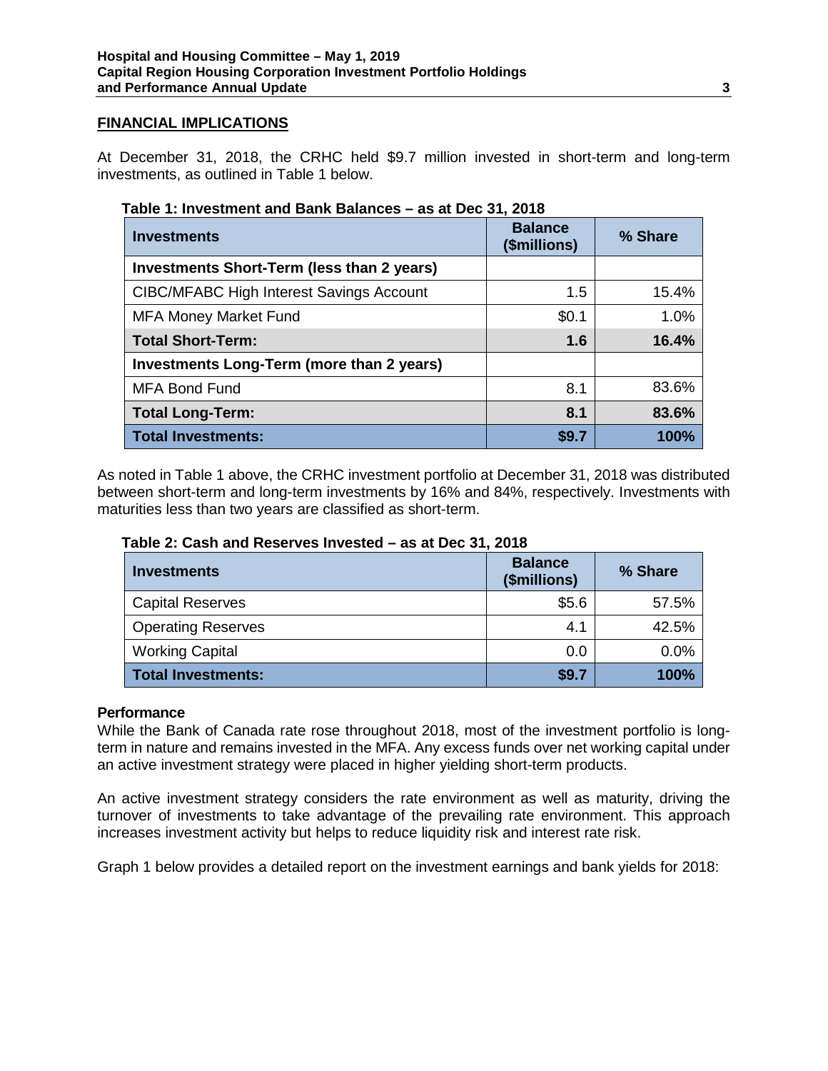## **FINANCIAL IMPLICATIONS**

At December 31, 2018, the CRHC held \$9.7 million invested in short-term and long-term investments, as outlined in Table 1 below.

| Table 1: Investment and Bank Balances – as at Dec 31, 2018 |  |
|------------------------------------------------------------|--|
|                                                            |  |

| <b>Investments</b>                              | <b>Balance</b><br>(\$millions) | % Share |
|-------------------------------------------------|--------------------------------|---------|
| Investments Short-Term (less than 2 years)      |                                |         |
| <b>CIBC/MFABC High Interest Savings Account</b> | 1.5                            | 15.4%   |
| <b>MFA Money Market Fund</b>                    | \$0.1                          | 1.0%    |
| <b>Total Short-Term:</b>                        | 1.6                            | 16.4%   |
| Investments Long-Term (more than 2 years)       |                                |         |
| <b>MFA Bond Fund</b>                            | 8.1                            | 83.6%   |
| <b>Total Long-Term:</b>                         | 8.1                            | 83.6%   |
| <b>Total Investments:</b>                       | \$9.7                          | 100%    |

As noted in Table 1 above, the CRHC investment portfolio at December 31, 2018 was distributed between short-term and long-term investments by 16% and 84%, respectively. Investments with maturities less than two years are classified as short-term.

| <b>Investments</b>        | <b>Balance</b><br>(\$millions) | % Share     |
|---------------------------|--------------------------------|-------------|
| <b>Capital Reserves</b>   | \$5.6                          | 57.5%       |
| <b>Operating Reserves</b> | 4.1                            | 42.5%       |
| <b>Working Capital</b>    | 0.0                            | 0.0%        |
| <b>Total Investments:</b> | \$9.7                          | <b>100%</b> |

## **Performance**

While the Bank of Canada rate rose throughout 2018, most of the investment portfolio is longterm in nature and remains invested in the MFA. Any excess funds over net working capital under an active investment strategy were placed in higher yielding short-term products.

An active investment strategy considers the rate environment as well as maturity, driving the turnover of investments to take advantage of the prevailing rate environment. This approach increases investment activity but helps to reduce liquidity risk and interest rate risk.

Graph 1 below provides a detailed report on the investment earnings and bank yields for 2018:

and the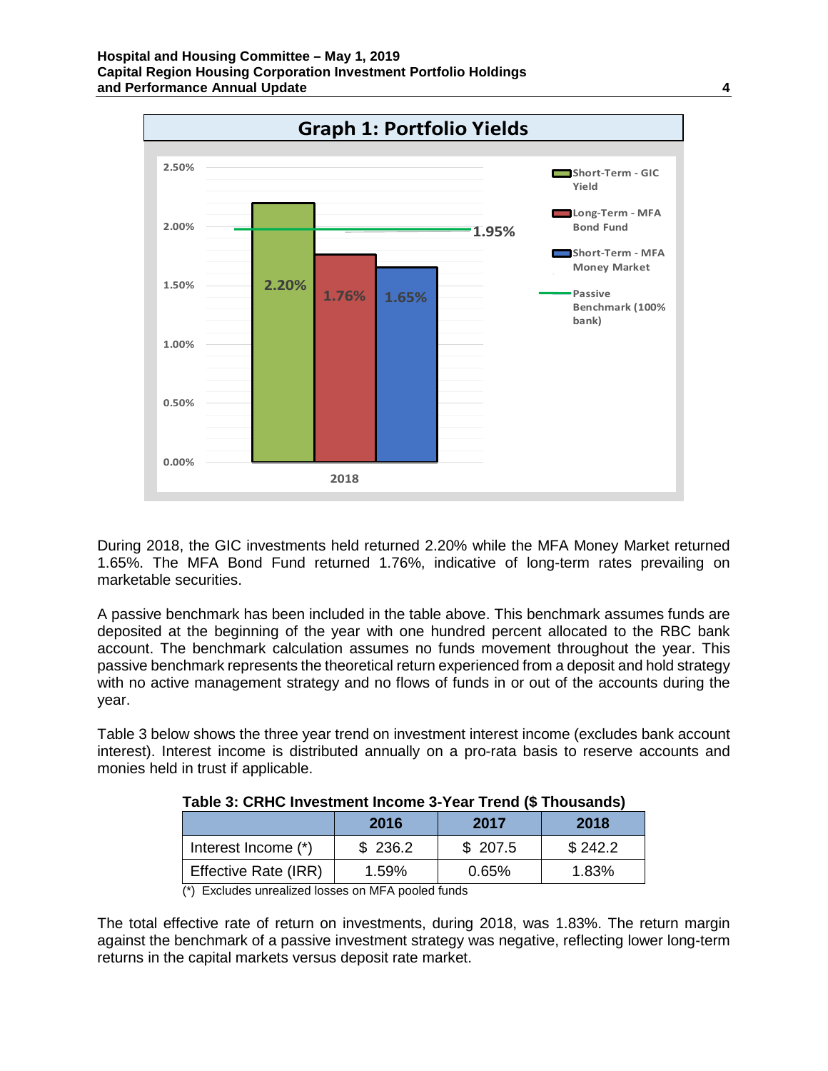

During 2018, the GIC investments held returned 2.20% while the MFA Money Market returned 1.65%. The MFA Bond Fund returned 1.76%, indicative of long-term rates prevailing on marketable securities.

A passive benchmark has been included in the table above. This benchmark assumes funds are deposited at the beginning of the year with one hundred percent allocated to the RBC bank account. The benchmark calculation assumes no funds movement throughout the year. This passive benchmark represents the theoretical return experienced from a deposit and hold strategy with no active management strategy and no flows of funds in or out of the accounts during the year.

Table 3 below shows the three year trend on investment interest income (excludes bank account interest). Interest income is distributed annually on a pro-rata basis to reserve accounts and monies held in trust if applicable.

|                      | 2016    | 2017    | 2018    |  |
|----------------------|---------|---------|---------|--|
| Interest Income (*)  | \$236.2 | \$207.5 | \$242.2 |  |
| Effective Rate (IRR) | 1.59%   | 0.65%   | 1.83%   |  |

## **Table 3: CRHC Investment Income 3-Year Trend (\$ Thousands)**

 $(*)$  Excludes unrealized losses on MFA pooled funds

The total effective rate of return on investments, during 2018, was 1.83%. The return margin against the benchmark of a passive investment strategy was negative, reflecting lower long-term returns in the capital markets versus deposit rate market.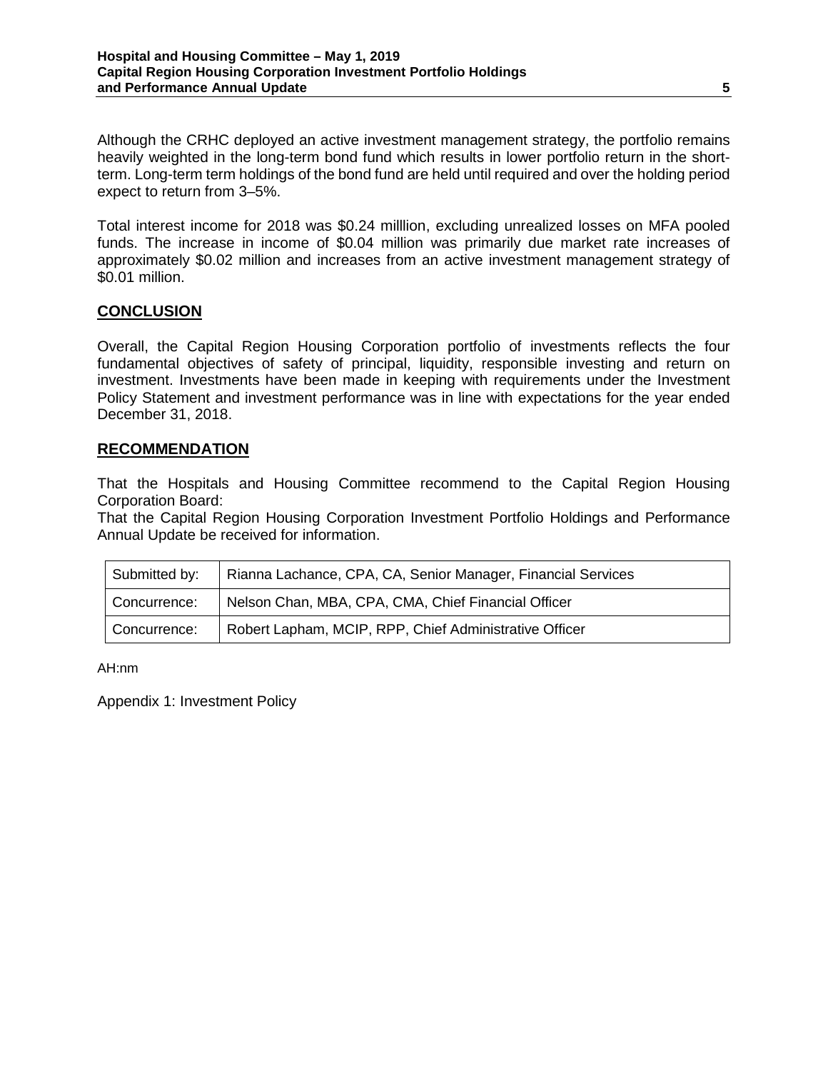Although the CRHC deployed an active investment management strategy, the portfolio remains heavily weighted in the long-term bond fund which results in lower portfolio return in the shortterm. Long-term term holdings of the bond fund are held until required and over the holding period expect to return from 3–5%.

Total interest income for 2018 was \$0.24 milllion, excluding unrealized losses on MFA pooled funds. The increase in income of \$0.04 million was primarily due market rate increases of approximately \$0.02 million and increases from an active investment management strategy of \$0.01 million.

## **CONCLUSION**

Overall, the Capital Region Housing Corporation portfolio of investments reflects the four fundamental objectives of safety of principal, liquidity, responsible investing and return on investment. Investments have been made in keeping with requirements under the Investment Policy Statement and investment performance was in line with expectations for the year ended December 31, 2018.

## **RECOMMENDATION**

That the Hospitals and Housing Committee recommend to the Capital Region Housing Corporation Board:

That the Capital Region Housing Corporation Investment Portfolio Holdings and Performance Annual Update be received for information.

| Submitted by: | Rianna Lachance, CPA, CA, Senior Manager, Financial Services |  |
|---------------|--------------------------------------------------------------|--|
| Concurrence:  | Nelson Chan, MBA, CPA, CMA, Chief Financial Officer          |  |
| Concurrence:  | Robert Lapham, MCIP, RPP, Chief Administrative Officer       |  |

AH:nm

Appendix 1: Investment Policy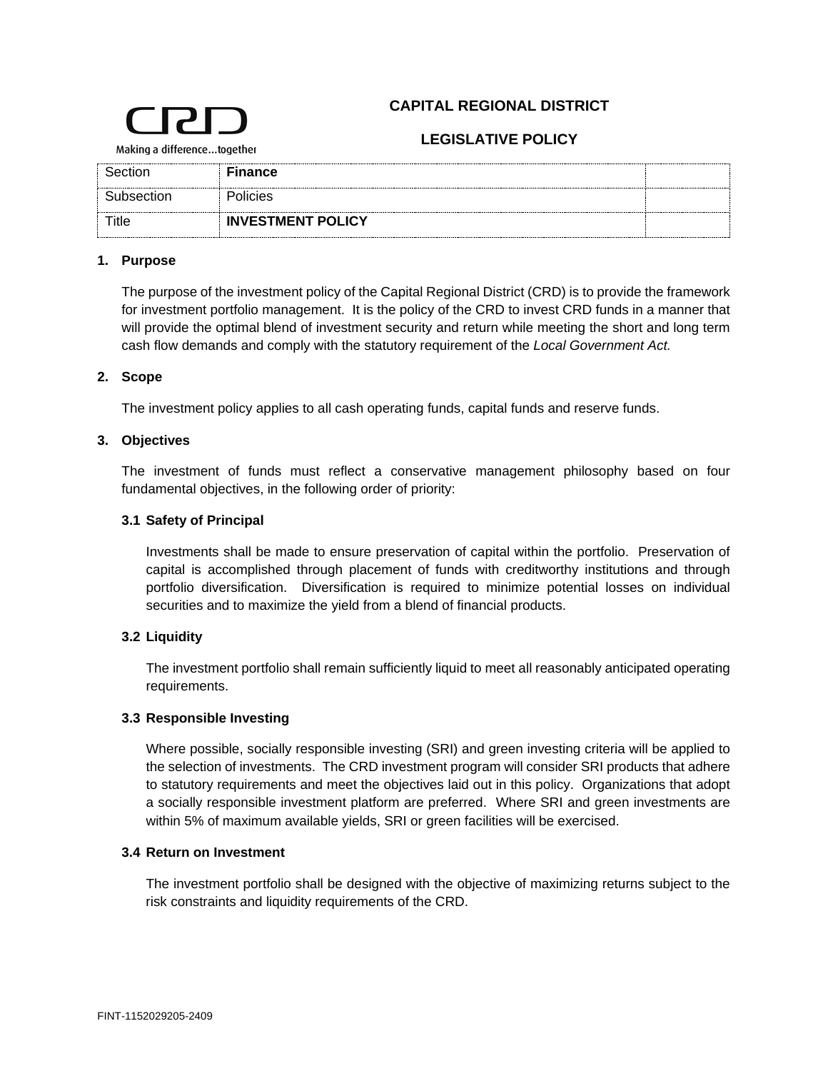## **CAPITAL REGIONAL DISTRICT**



## **LEGISLATIVE POLICY**

Making a difference...together

| Section    | <b>Finance</b>           |  |
|------------|--------------------------|--|
| Subsection | Policies                 |  |
| Title      | <b>INVESTMENT POLICY</b> |  |

#### **1. Purpose**

The purpose of the investment policy of the Capital Regional District (CRD) is to provide the framework for investment portfolio management. It is the policy of the CRD to invest CRD funds in a manner that will provide the optimal blend of investment security and return while meeting the short and long term cash flow demands and comply with the statutory requirement of the *Local Government Act.*

#### **2. Scope**

The investment policy applies to all cash operating funds, capital funds and reserve funds.

#### **3. Objectives**

The investment of funds must reflect a conservative management philosophy based on four fundamental objectives, in the following order of priority:

#### **3.1 Safety of Principal**

Investments shall be made to ensure preservation of capital within the portfolio. Preservation of capital is accomplished through placement of funds with creditworthy institutions and through portfolio diversification. Diversification is required to minimize potential losses on individual securities and to maximize the yield from a blend of financial products.

## **3.2 Liquidity**

The investment portfolio shall remain sufficiently liquid to meet all reasonably anticipated operating requirements.

#### **3.3 Responsible Investing**

Where possible, socially responsible investing (SRI) and green investing criteria will be applied to the selection of investments. The CRD investment program will consider SRI products that adhere to statutory requirements and meet the objectives laid out in this policy. Organizations that adopt a socially responsible investment platform are preferred. Where SRI and green investments are within 5% of maximum available yields, SRI or green facilities will be exercised.

#### **3.4 Return on Investment**

The investment portfolio shall be designed with the objective of maximizing returns subject to the risk constraints and liquidity requirements of the CRD.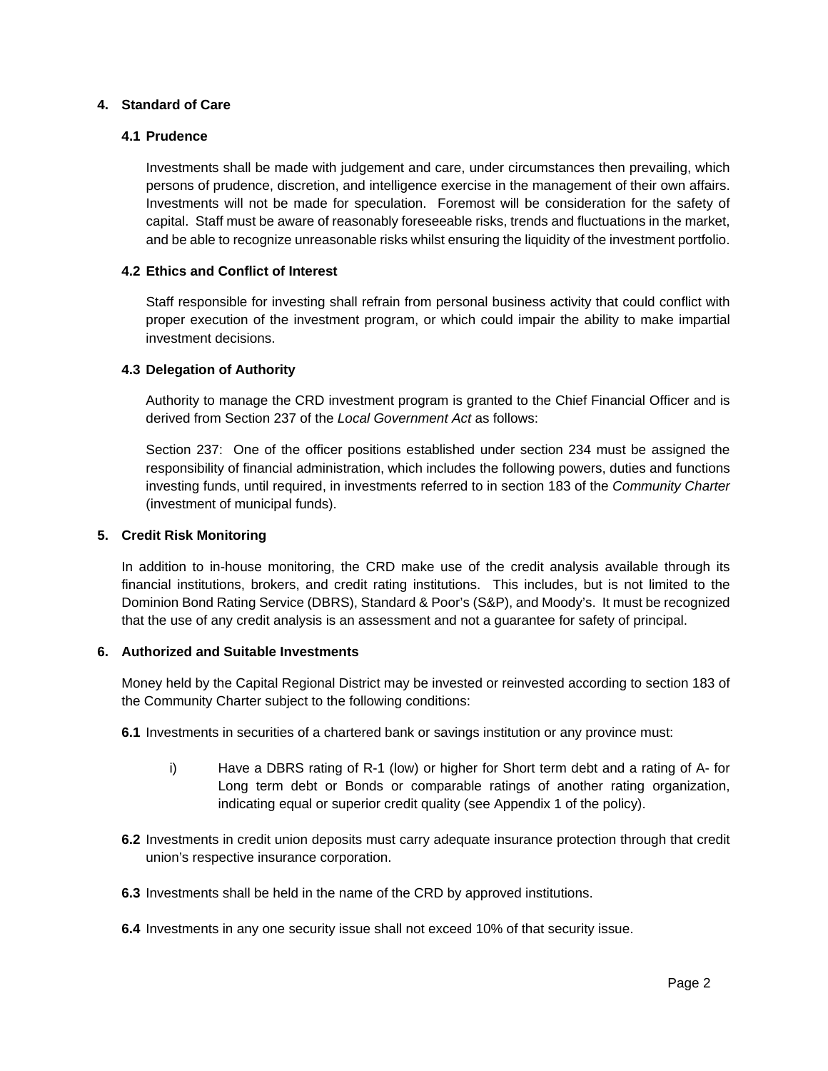#### **4. Standard of Care**

#### **4.1 Prudence**

Investments shall be made with judgement and care, under circumstances then prevailing, which persons of prudence, discretion, and intelligence exercise in the management of their own affairs. Investments will not be made for speculation. Foremost will be consideration for the safety of capital. Staff must be aware of reasonably foreseeable risks, trends and fluctuations in the market, and be able to recognize unreasonable risks whilst ensuring the liquidity of the investment portfolio.

#### **4.2 Ethics and Conflict of Interest**

Staff responsible for investing shall refrain from personal business activity that could conflict with proper execution of the investment program, or which could impair the ability to make impartial investment decisions.

#### **4.3 Delegation of Authority**

Authority to manage the CRD investment program is granted to the Chief Financial Officer and is derived from Section 237 of the *Local Government Act* as follows:

Section 237: One of the officer positions established under section 234 must be assigned the responsibility of financial administration, which includes the following powers, duties and functions investing funds, until required, in investments referred to in section 183 of the *Community Charter* (investment of municipal funds).

#### **5. Credit Risk Monitoring**

In addition to in-house monitoring, the CRD make use of the credit analysis available through its financial institutions, brokers, and credit rating institutions. This includes, but is not limited to the Dominion Bond Rating Service (DBRS), Standard & Poor's (S&P), and Moody's. It must be recognized that the use of any credit analysis is an assessment and not a guarantee for safety of principal.

#### **6. Authorized and Suitable Investments**

Money held by the Capital Regional District may be invested or reinvested according to section 183 of the Community Charter subject to the following conditions:

- **6.1** Investments in securities of a chartered bank or savings institution or any province must:
	- i) Have a DBRS rating of R-1 (low) or higher for Short term debt and a rating of A- for Long term debt or Bonds or comparable ratings of another rating organization, indicating equal or superior credit quality (see Appendix 1 of the policy).
- **6.2** Investments in credit union deposits must carry adequate insurance protection through that credit union's respective insurance corporation.
- **6.3** Investments shall be held in the name of the CRD by approved institutions.
- **6.4** Investments in any one security issue shall not exceed 10% of that security issue.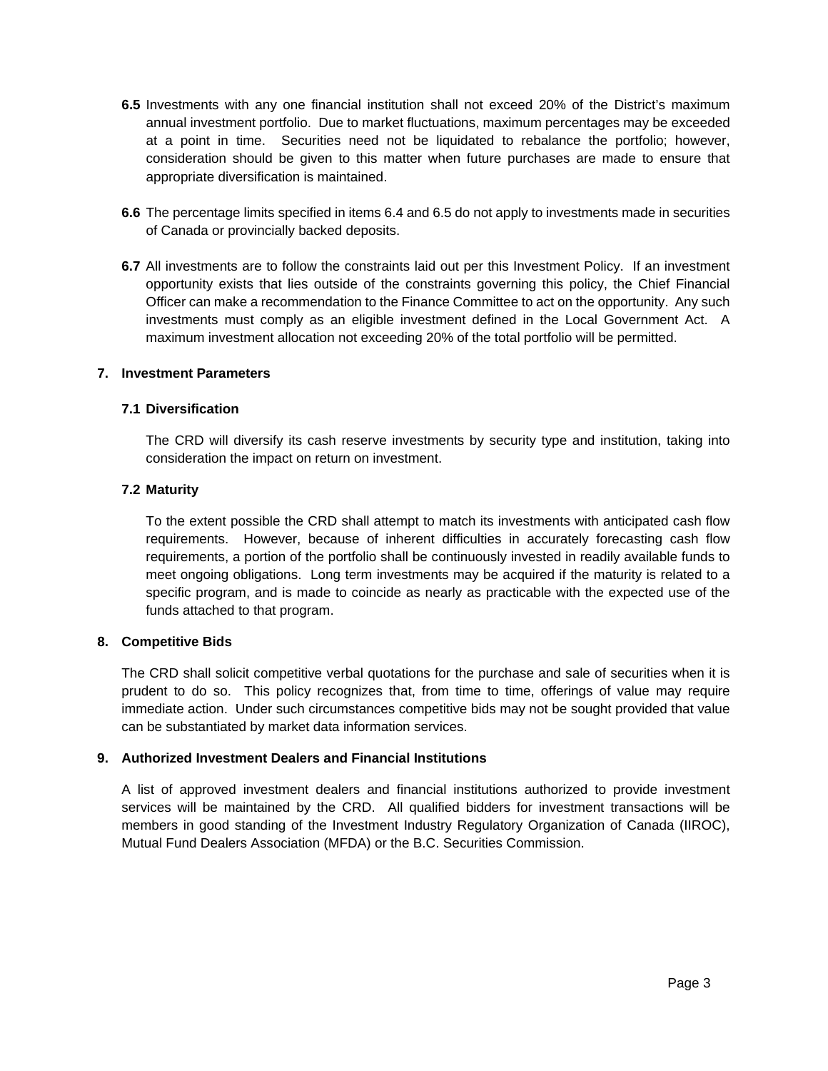- **6.5** Investments with any one financial institution shall not exceed 20% of the District's maximum annual investment portfolio. Due to market fluctuations, maximum percentages may be exceeded at a point in time. Securities need not be liquidated to rebalance the portfolio; however, consideration should be given to this matter when future purchases are made to ensure that appropriate diversification is maintained.
- **6.6** The percentage limits specified in items 6.4 and 6.5 do not apply to investments made in securities of Canada or provincially backed deposits.
- **6.7** All investments are to follow the constraints laid out per this Investment Policy. If an investment opportunity exists that lies outside of the constraints governing this policy, the Chief Financial Officer can make a recommendation to the Finance Committee to act on the opportunity. Any such investments must comply as an eligible investment defined in the Local Government Act. A maximum investment allocation not exceeding 20% of the total portfolio will be permitted.

#### **7. Investment Parameters**

#### **7.1 Diversification**

The CRD will diversify its cash reserve investments by security type and institution, taking into consideration the impact on return on investment.

#### **7.2 Maturity**

To the extent possible the CRD shall attempt to match its investments with anticipated cash flow requirements. However, because of inherent difficulties in accurately forecasting cash flow requirements, a portion of the portfolio shall be continuously invested in readily available funds to meet ongoing obligations. Long term investments may be acquired if the maturity is related to a specific program, and is made to coincide as nearly as practicable with the expected use of the funds attached to that program.

#### **8. Competitive Bids**

The CRD shall solicit competitive verbal quotations for the purchase and sale of securities when it is prudent to do so. This policy recognizes that, from time to time, offerings of value may require immediate action. Under such circumstances competitive bids may not be sought provided that value can be substantiated by market data information services.

#### **9. Authorized Investment Dealers and Financial Institutions**

A list of approved investment dealers and financial institutions authorized to provide investment services will be maintained by the CRD. All qualified bidders for investment transactions will be members in good standing of the Investment Industry Regulatory Organization of Canada (IIROC), Mutual Fund Dealers Association (MFDA) or the B.C. Securities Commission.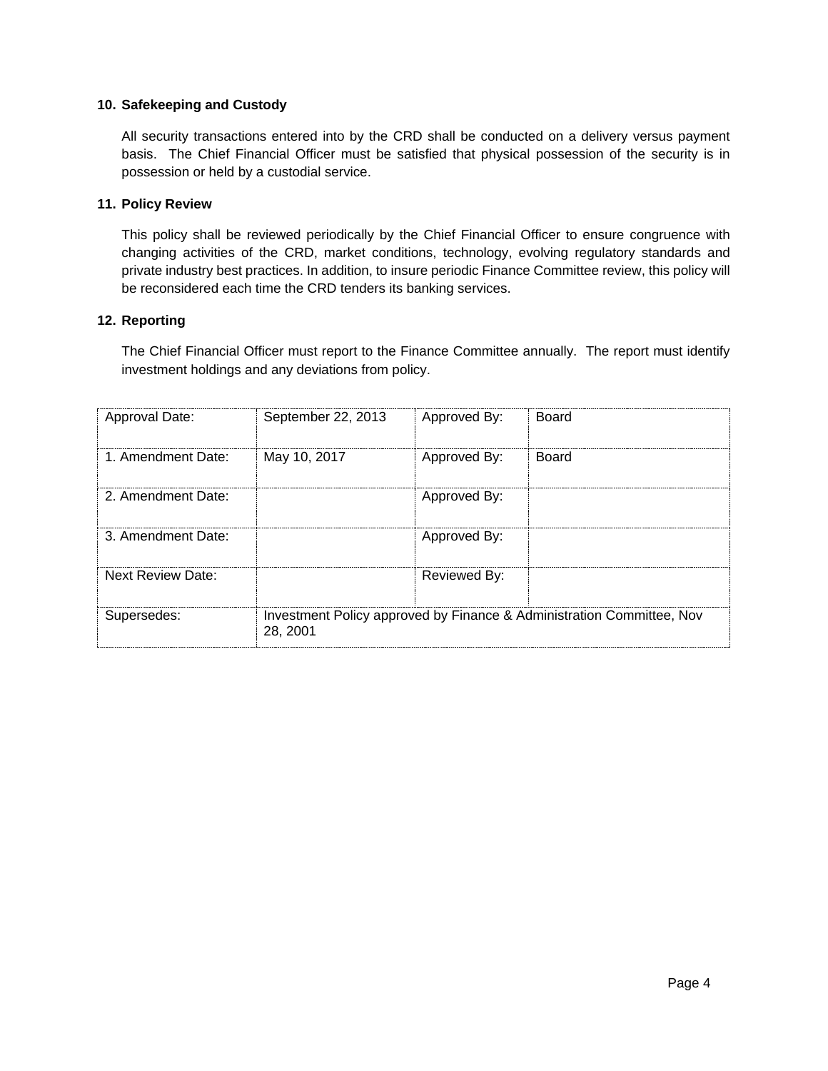#### **10. Safekeeping and Custody**

All security transactions entered into by the CRD shall be conducted on a delivery versus payment basis. The Chief Financial Officer must be satisfied that physical possession of the security is in possession or held by a custodial service.

#### **11. Policy Review**

This policy shall be reviewed periodically by the Chief Financial Officer to ensure congruence with changing activities of the CRD, market conditions, technology, evolving regulatory standards and private industry best practices. In addition, to insure periodic Finance Committee review, this policy will be reconsidered each time the CRD tenders its banking services.

#### **12. Reporting**

The Chief Financial Officer must report to the Finance Committee annually. The report must identify investment holdings and any deviations from policy.

| Approval Date:           | September 22, 2013 | Approved By: | Board                                                                 |
|--------------------------|--------------------|--------------|-----------------------------------------------------------------------|
| 1. Amendment Date:       | May 10, 2017       | Approved By: | Board                                                                 |
| 2. Amendment Date:       |                    | Approved By: |                                                                       |
| 3. Amendment Date:       |                    | Approved By: |                                                                       |
| <b>Next Review Date:</b> |                    | Reviewed By: |                                                                       |
| Supersedes:              | 28.2001            |              | Investment Policy approved by Finance & Administration Committee, Nov |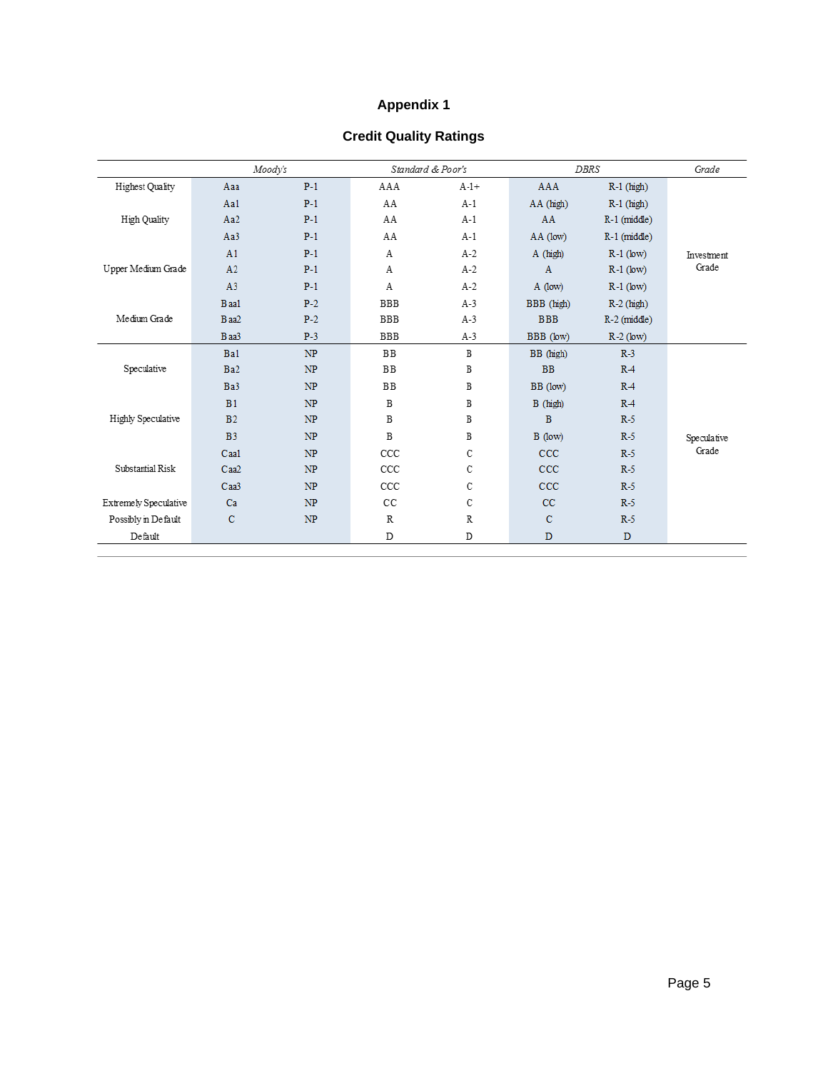## **Appendix 1**

## **Credit Quality Ratings**

|                       | Moodv's         |       | Standard & Poor's |               | DBRS         |                | Grade       |
|-----------------------|-----------------|-------|-------------------|---------------|--------------|----------------|-------------|
| Highest Quality       | Aaa             | $P-1$ | AAA               | $A-1+$        | AAA          | $R-1$ (high)   |             |
|                       | Aa1             | $P-1$ | AA                | $A-1$         | AA (high)    | $R-1$ (high)   |             |
| High Quality          | Aa2             | $P-1$ | AA                | $A-1$         | AA           | $R-1$ (middle) |             |
|                       | Aa3             | $P-1$ | AA                | $A-1$         | AA (low)     | $R-1$ (middle) |             |
|                       | A1              | $P-1$ | Α                 | $A-2$         | A (high)     | $R-1$ (low)    | Investment  |
| Upper Medium Grade    | A2              | $P-1$ | A                 | $A-2$         | $\mathbf{A}$ | $R-1$ (low)    | Grade       |
|                       | A3              | $P-1$ | Α                 | $A-2$         | $A$ (low)    | $R-1$ (low)    |             |
|                       | Baa1            | $P-2$ | <b>BBB</b>        | $A-3$         | BBB (high)   | $R-2$ (high)   |             |
| Medium Grade          | Baa2            | $P-2$ | <b>BBB</b>        | $A-3$         | <b>BBB</b>   | $R-2$ (middle) |             |
|                       | Baa3            | $P-3$ | <b>BBB</b>        | $A-3$         | BBB (low)    | $R-2$ (low)    |             |
|                       | Ba1             | NP    | <b>BB</b>         | $\, {\bf B}$  | BB (high)    | $R-3$          |             |
| Speculative           | Ba <sub>2</sub> | NP    | <b>BB</b>         | B             | <b>BB</b>    | R <sub>4</sub> |             |
|                       | Ba3             | NP    | <b>BB</b>         | B             | BB (low)     | $R-4$          |             |
|                       | B1              | NP    | B                 | B             | B (high)     | $R-4$          |             |
| Highly Speculative    | B <sub>2</sub>  | NP    | B                 | B             | $\mathbf{B}$ | $R-5$          |             |
|                       | B <sub>3</sub>  | NP    | B                 | B             | $B$ (low)    | $R-5$          | Speculative |
|                       | Caa1            | NP    | CCC               | C             | CCC          | $R-5$          | Grade       |
| Substantial Risk      | Caa2            | NP    | CCC               | C             | $CC$         | $R-5$          |             |
|                       | Caa3            | NP    | CCC               | C             | CCC          | $R-5$          |             |
| Extremely Speculative | Ca              | NP    | cc                | $\mathcal{C}$ | CC           | $R-5$          |             |
| Possibly in Default   | $\mathbf C$     | NP    | $\mathbb R$       | R             | $\mathbf C$  | $R-5$          |             |
| Default               |                 |       | D                 | D             | D            | D              |             |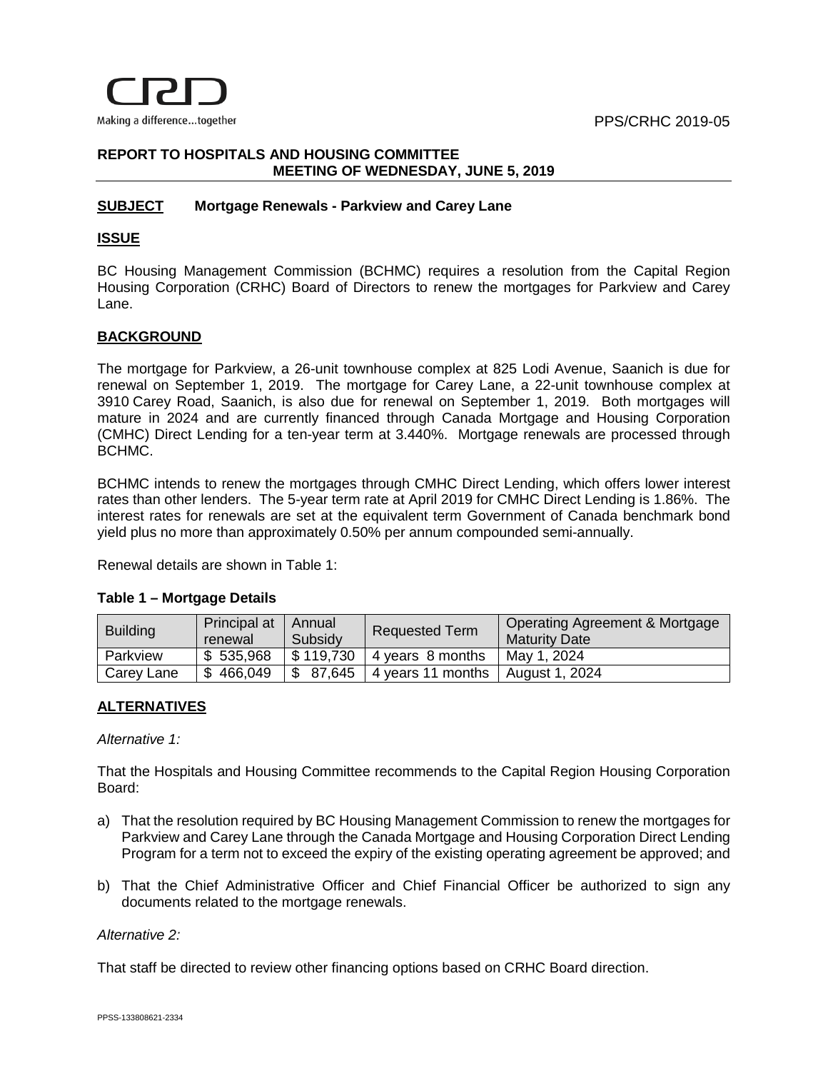

#### **REPORT TO HOSPITALS AND HOUSING COMMITTEE MEETING OF WEDNESDAY, JUNE 5, 2019**

#### **SUBJECT Mortgage Renewals - Parkview and Carey Lane**

#### **ISSUE**

BC Housing Management Commission (BCHMC) requires a resolution from the Capital Region Housing Corporation (CRHC) Board of Directors to renew the mortgages for Parkview and Carey Lane.

#### **BACKGROUND**

The mortgage for Parkview, a 26-unit townhouse complex at 825 Lodi Avenue, Saanich is due for renewal on September 1, 2019. The mortgage for Carey Lane, a 22-unit townhouse complex at 3910 Carey Road, Saanich, is also due for renewal on September 1, 2019. Both mortgages will mature in 2024 and are currently financed through Canada Mortgage and Housing Corporation (CMHC) Direct Lending for a ten-year term at 3.440%. Mortgage renewals are processed through BCHMC.

BCHMC intends to renew the mortgages through CMHC Direct Lending, which offers lower interest rates than other lenders. The 5-year term rate at April 2019 for CMHC Direct Lending is 1.86%. The interest rates for renewals are set at the equivalent term Government of Canada benchmark bond yield plus no more than approximately 0.50% per annum compounded semi-annually.

Renewal details are shown in Table 1:

| Table T – Multyaye Details |                 |                         |                   |                       |                                                        |  |  |
|----------------------------|-----------------|-------------------------|-------------------|-----------------------|--------------------------------------------------------|--|--|
|                            | <b>Building</b> | Principal at<br>renewal | Annual<br>Subsidy | <b>Requested Term</b> | Operating Agreement & Mortgage<br><b>Maturity Date</b> |  |  |
|                            | Parkview        | \$535,968               | \$119,730         | 4 years 8 months      | May 1, 2024                                            |  |  |

Carey Lane  $\frac{1}{3}$  466,049  $\frac{1}{3}$  87,645 4 years 11 months | August 1, 2024

#### **Table 1 – Mortgage Details**

## **ALTERNATIVES**

*Alternative 1:*

That the Hospitals and Housing Committee recommends to the Capital Region Housing Corporation Board:

- a) That the resolution required by BC Housing Management Commission to renew the mortgages for Parkview and Carey Lane through the Canada Mortgage and Housing Corporation Direct Lending Program for a term not to exceed the expiry of the existing operating agreement be approved; and
- b) That the Chief Administrative Officer and Chief Financial Officer be authorized to sign any documents related to the mortgage renewals.

*Alternative 2:*

That staff be directed to review other financing options based on CRHC Board direction.